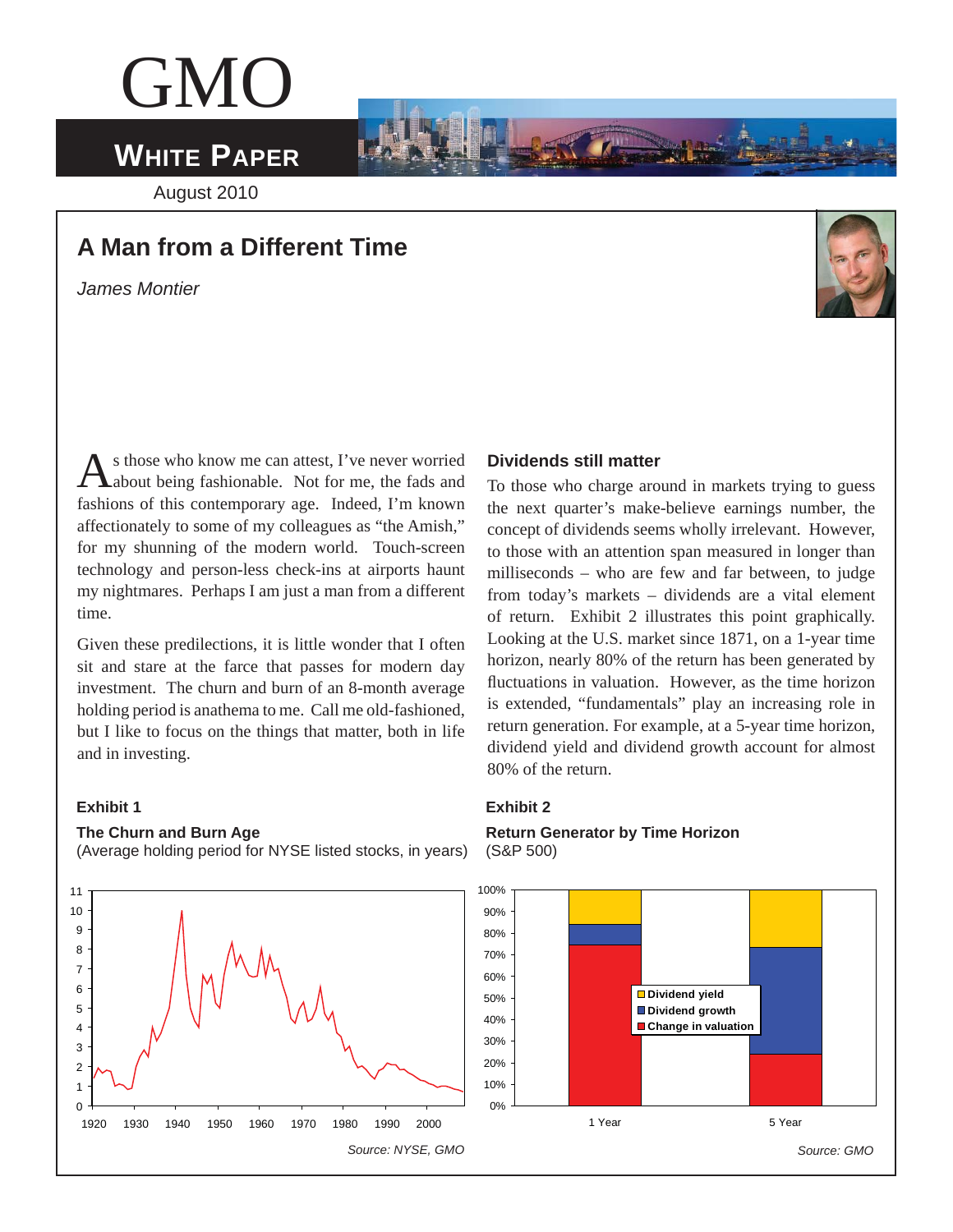# GMO

## **WHITE PAPER**

August 2010

### **A Man from a Different Time**

*James Montier* 



As those who know me can attest, I've never worried about being fashionable. Not for me, the fads and fashions of this contemporary age. Indeed, I'm known affectionately to some of my colleagues as "the Amish," for my shunning of the modern world. Touch-screen technology and person-less check-ins at airports haunt my nightmares. Perhaps I am just a man from a different time.

Given these predilections, it is little wonder that I often sit and stare at the farce that passes for modern day investment. The churn and burn of an 8-month average holding period is anathema to me. Call me old-fashioned, but I like to focus on the things that matter, both in life and in investing.

### **Exhibit 1**

### **The Churn and Burn Age**

(Average holding period for NYSE listed stocks, in years)



### **Dividends still matter**

To those who charge around in markets trying to guess the next quarter's make-believe earnings number, the concept of dividends seems wholly irrelevant. However, to those with an attention span measured in longer than milliseconds – who are few and far between, to judge from today's markets – dividends are a vital element of return. Exhibit 2 illustrates this point graphically. Looking at the U.S. market since 1871, on a 1-year time horizon, nearly 80% of the return has been generated by fluctuations in valuation. However, as the time horizon is extended, "fundamentals" play an increasing role in return generation. For example, at a 5-year time horizon, dividend yield and dividend growth account for almost 80% of the return.

### **Exhibit 2**

**Return Generator by Time Horizon**  (S&P 500)

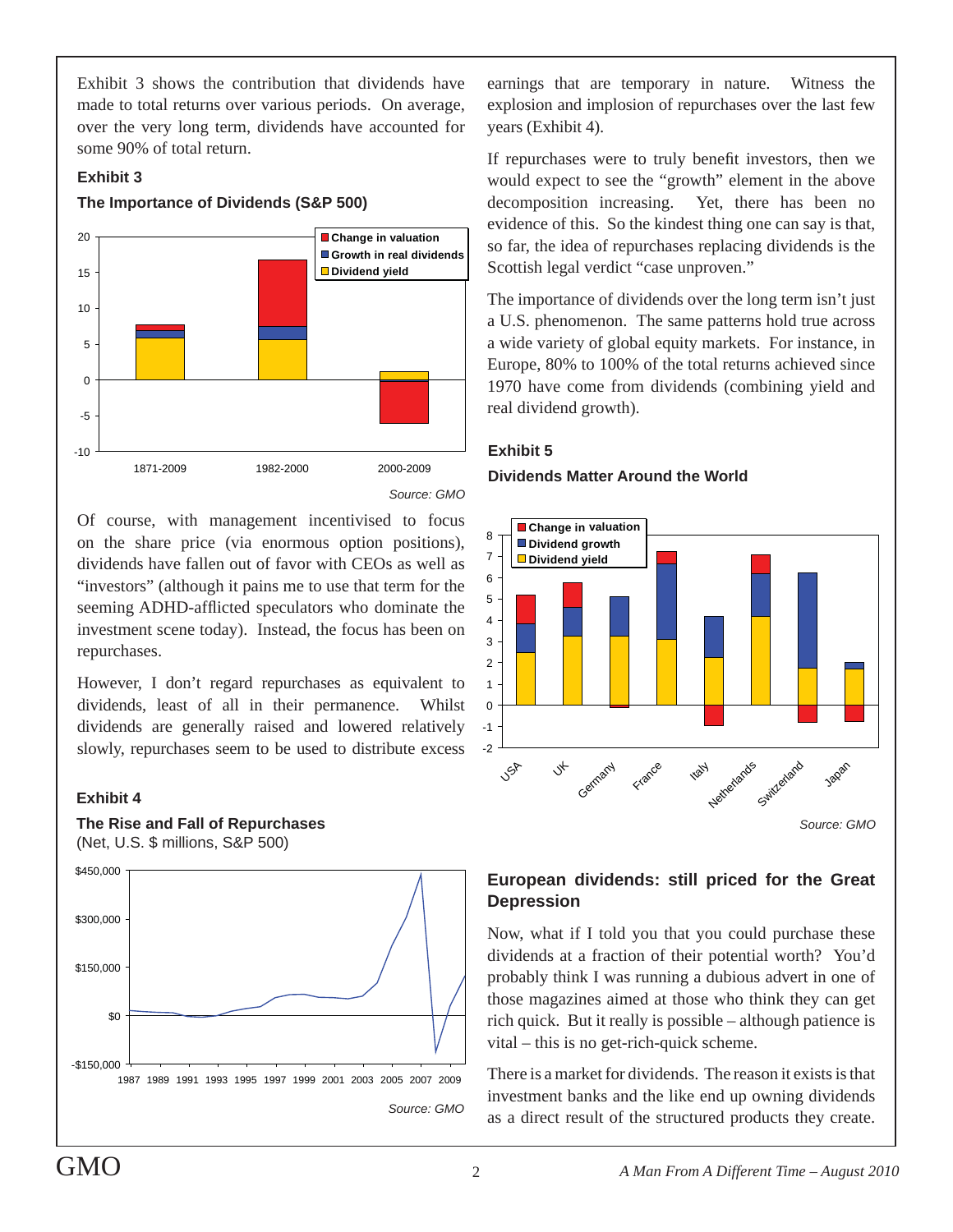Exhibit 3 shows the contribution that dividends have made to total returns over various periods. On average, over the very long term, dividends have accounted for some 90% of total return.

### **Exhibit 3**

### **The Importance of Dividends (S&P 500)**



Of course, with management incentivised to focus on the share price (via enormous option positions), dividends have fallen out of favor with CEOs as well as "investors" (although it pains me to use that term for the seeming ADHD-afflicted speculators who dominate the investment scene today). Instead, the focus has been on repurchases.

However, I don't regard repurchases as equivalent to dividends, least of all in their permanence. Whilst dividends are generally raised and lowered relatively slowly, repurchases seem to be used to distribute excess

### **Exhibit 4**

### **The Rise and Fall of Repurchases**





earnings that are temporary in nature. Witness the explosion and implosion of repurchases over the last few years (Exhibit 4).

If repurchases were to truly benefit investors, then we would expect to see the "growth" element in the above decomposition increasing. Yet, there has been no evidence of this. So the kindest thing one can say is that, so far, the idea of repurchases replacing dividends is the Scottish legal verdict "case unproven."

The importance of dividends over the long term isn't just a U.S. phenomenon. The same patterns hold true across a wide variety of global equity markets. For instance, in Europe, 80% to 100% of the total returns achieved since 1970 have come from dividends (combining yield and real dividend growth).

### **Dividends Matter Around the World**



### **European dividends: still priced for the Great Depression**

Now, what if I told you that you could purchase these dividends at a fraction of their potential worth? You'd probably think I was running a dubious advert in one of those magazines aimed at those who think they can get rich quick. But it really is possible – although patience is vital – this is no get-rich-quick scheme.

There is a market for dividends. The reason it exists is that investment banks and the like end up owning dividends as a direct result of the structured products they create.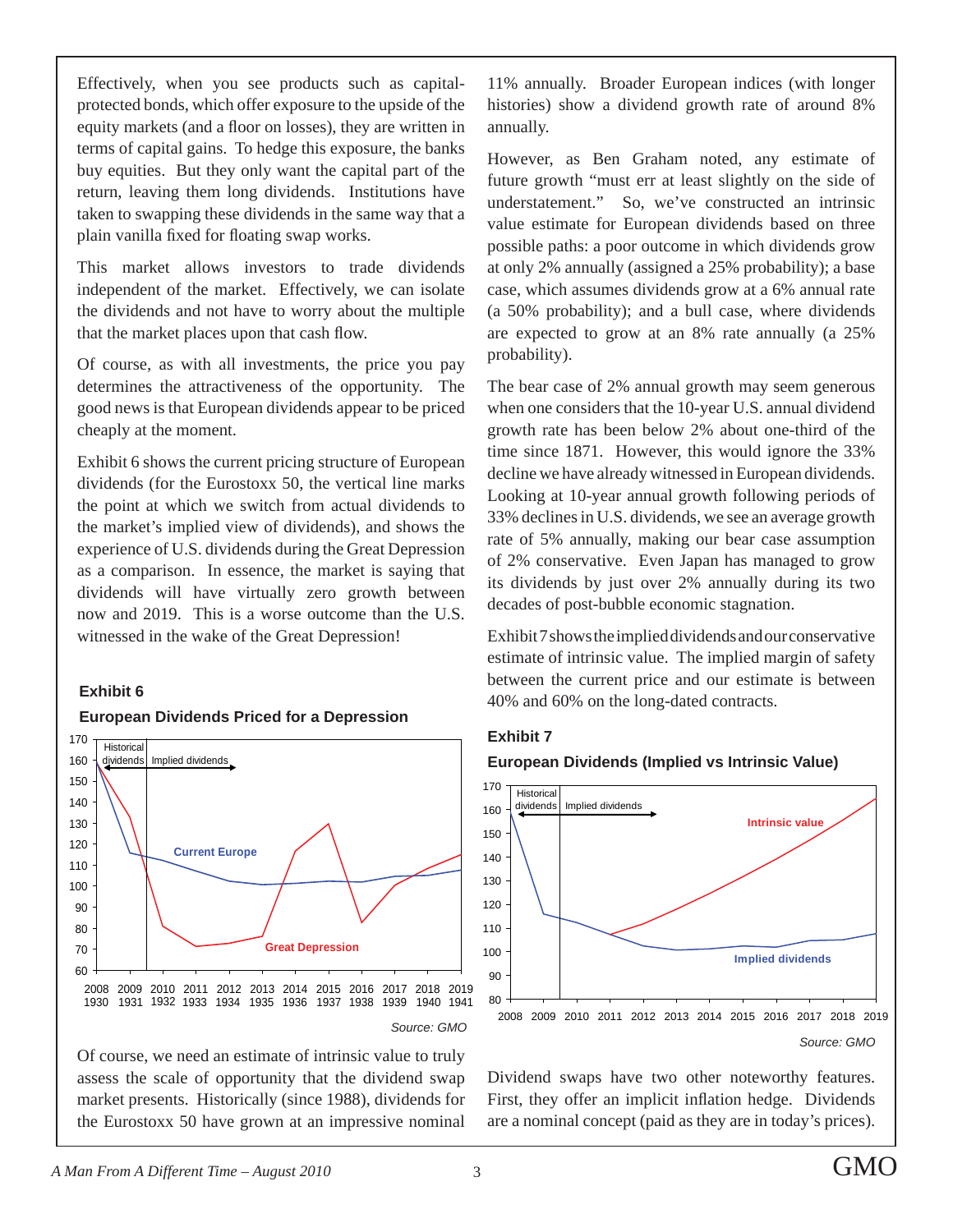Effectively, when you see products such as capitalprotected bonds, which offer exposure to the upside of the equity markets (and a floor on losses), they are written in terms of capital gains. To hedge this exposure, the banks buy equities. But they only want the capital part of the return, leaving them long dividends. Institutions have taken to swapping these dividends in the same way that a plain vanilla fixed for floating swap works.

This market allows investors to trade dividends independent of the market. Effectively, we can isolate the dividends and not have to worry about the multiple that the market places upon that cash flow.

Of course, as with all investments, the price you pay determines the attractiveness of the opportunity. The good news is that European dividends appear to be priced cheaply at the moment.

Exhibit 6 shows the current pricing structure of European dividends (for the Eurostoxx 50, the vertical line marks the point at which we switch from actual dividends to the market's implied view of dividends), and shows the experience of U.S. dividends during the Great Depression as a comparison. In essence, the market is saying that dividends will have virtually zero growth between now and 2019. This is a worse outcome than the U.S. witnessed in the wake of the Great Depression!

#### **Exhibit 6**

### **European Dividends Priced for a Depression**



Of course, we need an estimate of intrinsic value to truly assess the scale of opportunity that the dividend swap market presents. Historically (since 1988), dividends for the Eurostoxx 50 have grown at an impressive nominal

11% annually. Broader European indices (with longer histories) show a dividend growth rate of around 8% annually.

However, as Ben Graham noted, any estimate of future growth "must err at least slightly on the side of understatement." So, we've constructed an intrinsic value estimate for European dividends based on three possible paths: a poor outcome in which dividends grow at only 2% annually (assigned a 25% probability); a base case, which assumes dividends grow at a 6% annual rate (a 50% probability); and a bull case, where dividends are expected to grow at an 8% rate annually (a 25% probability).

The bear case of 2% annual growth may seem generous when one considers that the 10-year U.S. annual dividend growth rate has been below 2% about one-third of the time since 1871. However, this would ignore the 33% decline we have already witnessed in European dividends. Looking at 10-year annual growth following periods of 33% declines in U.S. dividends, we see an average growth rate of 5% annually, making our bear case assumption of 2% conservative. Even Japan has managed to grow its dividends by just over 2% annually during its two decades of post-bubble economic stagnation.

Exhibit 7 shows the implied dividends and our conservative estimate of intrinsic value. The implied margin of safety between the current price and our estimate is between 40% and 60% on the long-dated contracts.

### **Exhibit 7**





Dividend swaps have two other noteworthy features. First, they offer an implicit inflation hedge. Dividends are a nominal concept (paid as they are in today's prices).